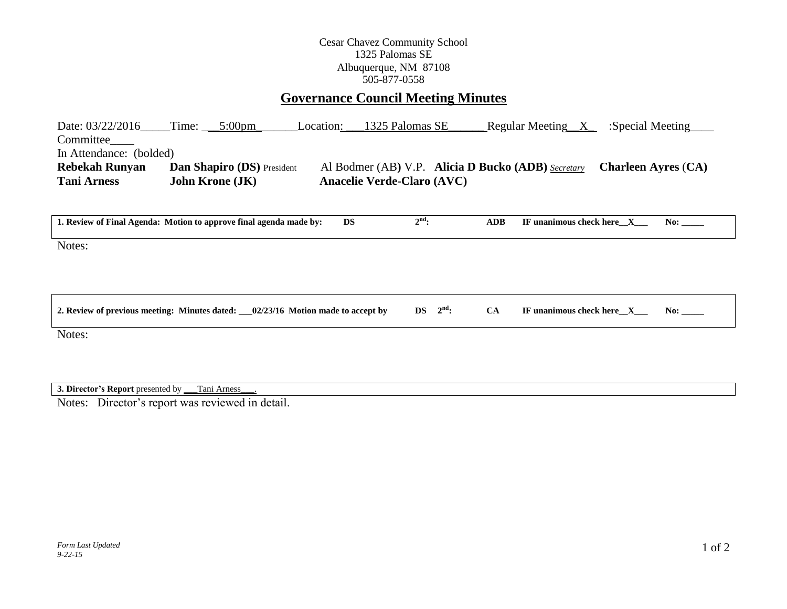## Cesar Chavez Community School 1325 Palomas SE Albuquerque, NM 87108 505-877-0558

## **Governance Council Meeting Minutes**

| Date: 03/22/2016        | Time:                  | $5:00 \text{pm}$                  | Location: | 1325 Palomas SE                   | Regular Meeting $X$                                       | :Special Meeting           |
|-------------------------|------------------------|-----------------------------------|-----------|-----------------------------------|-----------------------------------------------------------|----------------------------|
| Committee               |                        |                                   |           |                                   |                                                           |                            |
| In Attendance: (bolded) |                        |                                   |           |                                   |                                                           |                            |
| <b>Rebekah Runyan</b>   |                        | <b>Dan Shapiro (DS)</b> President |           |                                   | Al Bodmer (AB) V.P. <b>Alicia D Bucko (ADB)</b> Secretary | <b>Charleen Ayres (CA)</b> |
| <b>Tani Arness</b>      | <b>John Krone (JK)</b> |                                   |           | <b>Anacelie Verde-Claro (AVC)</b> |                                                           |                            |

| 1. Review of Final Agenda: Motion to approve final agenda made by:                | <b>DS</b> | $2^{\text{nd}}$ :       | <b>ADB</b> | IF unanimous check here $X$<br>No:       |
|-----------------------------------------------------------------------------------|-----------|-------------------------|------------|------------------------------------------|
| Notes:                                                                            |           |                         |            |                                          |
| 2. Review of previous meeting: Minutes dated: $02/23/16$ Motion made to accept by |           | $2^{\text{nd}}$ :<br>DS | <b>CA</b>  | IF unanimous check here $X$<br>No: $\__$ |

Notes:

**3. Director's Report** presented by \_\_\_Tani Arness\_\_\_.

Notes: Director's report was reviewed in detail.